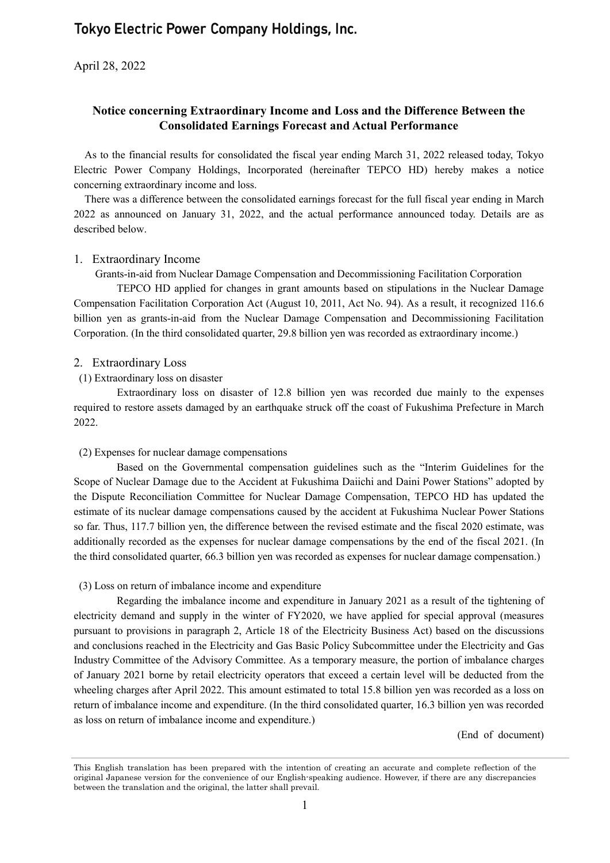# **Tokyo Electric Power Company Holdings, Inc.**

April 28, 2022

# **Notice concerning Extraordinary Income and Loss and the Difference Between the Consolidated Earnings Forecast and Actual Performance**

As to the financial results for consolidated the fiscal year ending March 31, 2022 released today, Tokyo Electric Power Company Holdings, Incorporated (hereinafter TEPCO HD) hereby makes a notice concerning extraordinary income and loss.

There was a difference between the consolidated earnings forecast for the full fiscal year ending in March 2022 as announced on January 31, 2022, and the actual performance announced today. Details are as described below.

#### 1. Extraordinary Income

Grants-in-aid from Nuclear Damage Compensation and Decommissioning Facilitation Corporation

TEPCO HD applied for changes in grant amounts based on stipulations in the Nuclear Damage Compensation Facilitation Corporation Act (August 10, 2011, Act No. 94). As a result, it recognized 116.6 billion yen as grants-in-aid from the Nuclear Damage Compensation and Decommissioning Facilitation Corporation. (In the third consolidated quarter, 29.8 billion yen was recorded as extraordinary income.)

#### 2. Extraordinary Loss

#### (1) Extraordinary loss on disaster

Extraordinary loss on disaster of 12.8 billion yen was recorded due mainly to the expenses required to restore assets damaged by an earthquake struck off the coast of Fukushima Prefecture in March 2022.

#### (2) Expenses for nuclear damage compensations

Based on the Governmental compensation guidelines such as the "Interim Guidelines for the Scope of Nuclear Damage due to the Accident at Fukushima Daiichi and Daini Power Stations" adopted by the Dispute Reconciliation Committee for Nuclear Damage Compensation, TEPCO HD has updated the estimate of its nuclear damage compensations caused by the accident at Fukushima Nuclear Power Stations so far. Thus, 117.7 billion yen, the difference between the revised estimate and the fiscal 2020 estimate, was additionally recorded as the expenses for nuclear damage compensations by the end of the fiscal 2021. (In the third consolidated quarter, 66.3 billion yen was recorded as expenses for nuclear damage compensation.)

#### (3) Loss on return of imbalance income and expenditure

Regarding the imbalance income and expenditure in January 2021 as a result of the tightening of electricity demand and supply in the winter of FY2020, we have applied for special approval (measures pursuant to provisions in paragraph 2, Article 18 of the Electricity Business Act) based on the discussions and conclusions reached in the Electricity and Gas Basic Policy Subcommittee under the Electricity and Gas Industry Committee of the Advisory Committee. As a temporary measure, the portion of imbalance charges of January 2021 borne by retail electricity operators that exceed a certain level will be deducted from the wheeling charges after April 2022. This amount estimated to total 15.8 billion yen was recorded as a loss on return of imbalance income and expenditure. (In the third consolidated quarter, 16.3 billion yen was recorded as loss on return of imbalance income and expenditure.)

(End of document)

This English translation has been prepared with the intention of creating an accurate and complete reflection of the original Japanese version for the convenience of our English-speaking audience. However, if there are any discrepancies between the translation and the original, the latter shall prevail.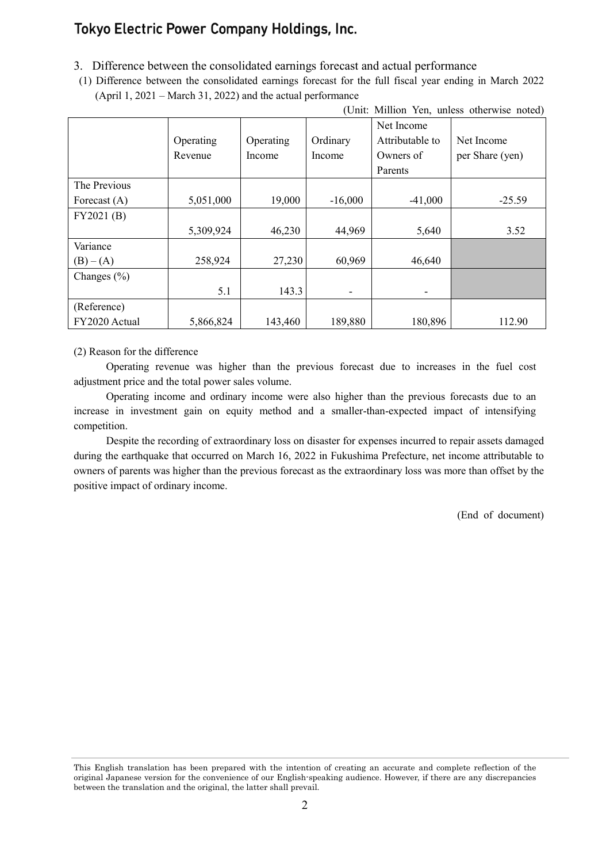# **Tokyo Electric Power Company Holdings, Inc.**

- 3. Difference between the consolidated earnings forecast and actual performance
- (1) Difference between the consolidated earnings forecast for the full fiscal year ending in March 2022 (April 1, 2021 – March 31, 2022) and the actual performance

| (Unit: Million Yen, unless otherwise noted) |           |           |           |                 |                 |
|---------------------------------------------|-----------|-----------|-----------|-----------------|-----------------|
|                                             |           |           |           | Net Income      |                 |
|                                             | Operating | Operating | Ordinary  | Attributable to | Net Income      |
|                                             | Revenue   | Income    | Income    | Owners of       | per Share (yen) |
|                                             |           |           |           | Parents         |                 |
| The Previous                                |           |           |           |                 |                 |
| Forecast $(A)$                              | 5,051,000 | 19,000    | $-16,000$ | $-41,000$       | $-25.59$        |
| FY2021(B)                                   |           |           |           |                 |                 |
|                                             | 5,309,924 | 46,230    | 44,969    | 5,640           | 3.52            |
| Variance                                    |           |           |           |                 |                 |
| $(B) - (A)$                                 | 258,924   | 27,230    | 60,969    | 46,640          |                 |
| Changes $(\% )$                             |           |           |           |                 |                 |
|                                             | 5.1       | 143.3     |           |                 |                 |
| (Reference)                                 |           |           |           |                 |                 |
| FY2020 Actual                               | 5,866,824 | 143,460   | 189,880   | 180,896         | 112.90          |

#### (2) Reason for the difference

Operating revenue was higher than the previous forecast due to increases in the fuel cost adjustment price and the total power sales volume.

Operating income and ordinary income were also higher than the previous forecasts due to an increase in investment gain on equity method and a smaller-than-expected impact of intensifying competition.

Despite the recording of extraordinary loss on disaster for expenses incurred to repair assets damaged during the earthquake that occurred on March 16, 2022 in Fukushima Prefecture, net income attributable to owners of parents was higher than the previous forecast as the extraordinary loss was more than offset by the positive impact of ordinary income.

(End of document)

This English translation has been prepared with the intention of creating an accurate and complete reflection of the original Japanese version for the convenience of our English-speaking audience. However, if there are any discrepancies between the translation and the original, the latter shall prevail.